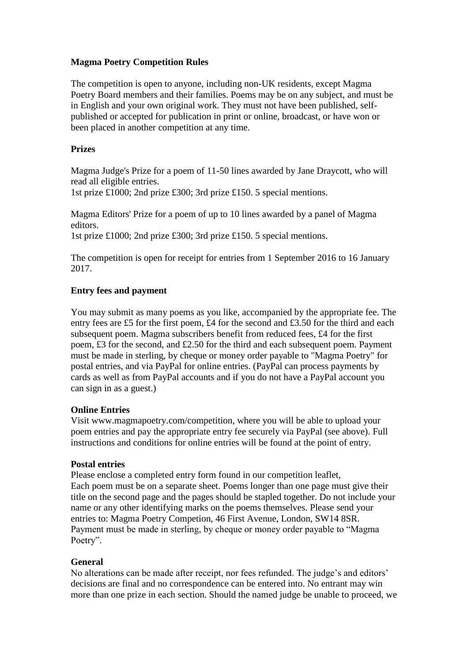#### **Magma Poetry Competition Rules**

The competition is open to anyone, including non-UK residents, except Magma Poetry Board members and their families. Poems may be on any subject, and must be in English and your own original work. They must not have been published, selfpublished or accepted for publication in print or online, broadcast, or have won or been placed in another competition at any time.

#### **Prizes**

Magma Judge's Prize for a poem of 11-50 lines awarded by Jane Draycott, who will read all eligible entries.

1st prize £1000; 2nd prize £300; 3rd prize £150. 5 special mentions.

Magma Editors' Prize for a poem of up to 10 lines awarded by a panel of Magma editors.

1st prize £1000; 2nd prize £300; 3rd prize £150. 5 special mentions.

The competition is open for receipt for entries from 1 September 2016 to 16 January 2017.

# **Entry fees and payment**

You may submit as many poems as you like, accompanied by the appropriate fee. The entry fees are £5 for the first poem, £4 for the second and £3.50 for the third and each subsequent poem. Magma subscribers benefit from reduced fees, £4 for the first poem, £3 for the second, and £2.50 for the third and each subsequent poem. Payment must be made in sterling, by cheque or money order payable to "Magma Poetry" for postal entries, and via PayPal for online entries. (PayPal can process payments by cards as well as from PayPal accounts and if you do not have a PayPal account you can sign in as a guest.)

## **Online Entries**

Visit www.magmapoetry.com/competition, where you will be able to upload your poem entries and pay the appropriate entry fee securely via PayPal (see above). Full instructions and conditions for online entries will be found at the point of entry.

## **Postal entries**

Please enclose a completed entry form found in our competition leaflet, Each poem must be on a separate sheet. Poems longer than one page must give their title on the second page and the pages should be stapled together. Do not include your name or any other identifying marks on the poems themselves. Please send your entries to: Magma Poetry Competion, 46 First Avenue, London, SW14 8SR. Payment must be made in sterling, by cheque or money order payable to "Magma Poetry".

## **General**

No alterations can be made after receipt, nor fees refunded. The judge's and editors' decisions are final and no correspondence can be entered into. No entrant may win more than one prize in each section. Should the named judge be unable to proceed, we